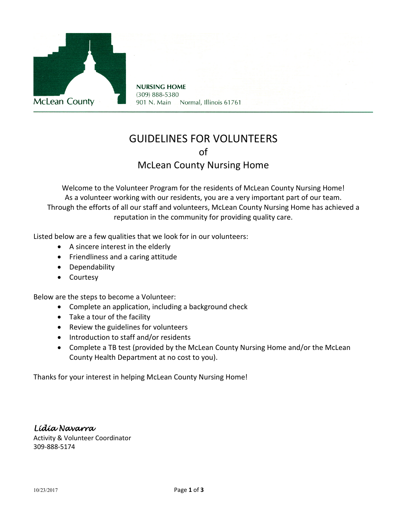

**NURSING HOME** (309) 888-5380 901 N. Main Normal, Illinois 61761

# GUIDELINES FOR VOLUNTEERS of McLean County Nursing Home

Welcome to the Volunteer Program for the residents of McLean County Nursing Home! As a volunteer working with our residents, you are a very important part of our team. Through the efforts of all our staff and volunteers, McLean County Nursing Home has achieved a reputation in the community for providing quality care.

Listed below are a few qualities that we look for in our volunteers:

- A sincere interest in the elderly
- Friendliness and a caring attitude
- Dependability
- Courtesy

Below are the steps to become a Volunteer:

- Complete an application, including a background check
- Take a tour of the facility
- Review the guidelines for volunteers
- Introduction to staff and/or residents
- Complete a TB test (provided by the McLean County Nursing Home and/or the McLean County Health Department at no cost to you).

Thanks for your interest in helping McLean County Nursing Home!

*Lidia Navarra*  Activity & Volunteer Coordinator 309-888-5174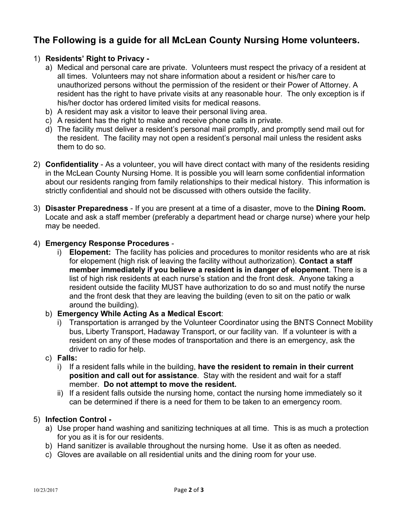## **The Following is a guide for all McLean County Nursing Home volunteers.**

### 1) **Residents' Right to Privacy -**

- a) Medical and personal care are private. Volunteers must respect the privacy of a resident at all times. Volunteers may not share information about a resident or his/her care to unauthorized persons without the permission of the resident or their Power of Attorney. A resident has the right to have private visits at any reasonable hour. The only exception is if his/her doctor has ordered limited visits for medical reasons.
- b) A resident may ask a visitor to leave their personal living area.
- c) A resident has the right to make and receive phone calls in private.
- d) The facility must deliver a resident's personal mail promptly, and promptly send mail out for the resident. The facility may not open a resident's personal mail unless the resident asks them to do so.
- 2) **Confidentiality** As a volunteer, you will have direct contact with many of the residents residing in the McLean County Nursing Home. It is possible you will learn some confidential information about our residents ranging from family relationships to their medical history. This information is strictly confidential and should not be discussed with others outside the facility.
- 3) **Disaster Preparedness** If you are present at a time of a disaster, move to the **Dining Room.** Locate and ask a staff member (preferably a department head or charge nurse) where your help may be needed.

#### 4) **Emergency Response Procedures** -

i) **Elopement:** The facility has policies and procedures to monitor residents who are at risk for elopement (high risk of leaving the facility without authorization). **Contact a staff member immediately if you believe a resident is in danger of elopement**. There is a list of high risk residents at each nurse's station and the front desk. Anyone taking a resident outside the facility MUST have authorization to do so and must notify the nurse and the front desk that they are leaving the building (even to sit on the patio or walk around the building).

#### b) **Emergency While Acting As a Medical Escort**:

i) Transportation is arranged by the Volunteer Coordinator using the BNTS Connect Mobility bus, Liberty Transport, Hadaway Transport, or our facility van. If a volunteer is with a resident on any of these modes of transportation and there is an emergency, ask the driver to radio for help.

#### c) **Falls:**

- i) If a resident falls while in the building, **have the resident to remain in their current position and call out for assistance**. Stay with the resident and wait for a staff member. **Do not attempt to move the resident.**
- ii) If a resident falls outside the nursing home, contact the nursing home immediately so it can be determined if there is a need for them to be taken to an emergency room.

#### 5) **Infection Control -**

- a) Use proper hand washing and sanitizing techniques at all time. This is as much a protection for you as it is for our residents.
- b) Hand sanitizer is available throughout the nursing home. Use it as often as needed.
- c) Gloves are available on all residential units and the dining room for your use.